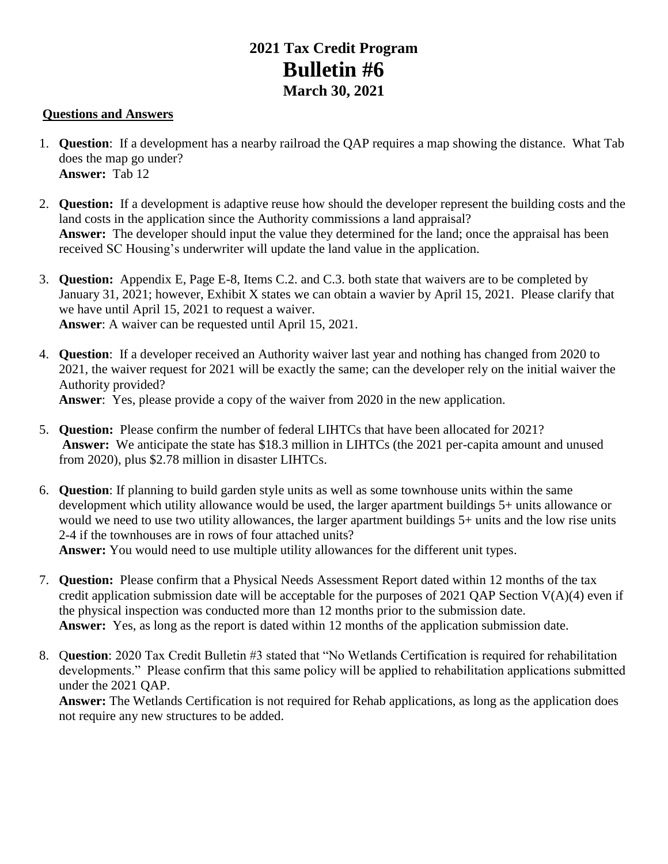## **2021 Tax Credit Program Bulletin #6 March 30, 2021**

## **Questions and Answers**

- 1. **Question**: If a development has a nearby railroad the QAP requires a map showing the distance. What Tab does the map go under? **Answer:** Tab 12
- 2. **Question:** If a development is adaptive reuse how should the developer represent the building costs and the land costs in the application since the Authority commissions a land appraisal? **Answer:** The developer should input the value they determined for the land; once the appraisal has been received SC Housing's underwriter will update the land value in the application.
- 3. **Question:** Appendix E, Page E-8, Items C.2. and C.3. both state that waivers are to be completed by January 31, 2021; however, Exhibit X states we can obtain a wavier by April 15, 2021. Please clarify that we have until April 15, 2021 to request a waiver. **Answer**: A waiver can be requested until April 15, 2021.
- 4. **Question**: If a developer received an Authority waiver last year and nothing has changed from 2020 to 2021, the waiver request for 2021 will be exactly the same; can the developer rely on the initial waiver the Authority provided?

**Answer**: Yes, please provide a copy of the waiver from 2020 in the new application.

- 5. **Question:** Please confirm the number of federal LIHTCs that have been allocated for 2021? **Answer:** We anticipate the state has \$18.3 million in LIHTCs (the 2021 per-capita amount and unused from 2020), plus \$2.78 million in disaster LIHTCs.
- 6. **Question**: If planning to build garden style units as well as some townhouse units within the same development which utility allowance would be used, the larger apartment buildings 5+ units allowance or would we need to use two utility allowances, the larger apartment buildings 5+ units and the low rise units 2-4 if the townhouses are in rows of four attached units?

**Answer:** You would need to use multiple utility allowances for the different unit types.

- 7. **Question:** Please confirm that a Physical Needs Assessment Report dated within 12 months of the tax credit application submission date will be acceptable for the purposes of 2021 QAP Section  $V(A)(4)$  even if the physical inspection was conducted more than 12 months prior to the submission date. **Answer:** Yes, as long as the report is dated within 12 months of the application submission date.
- 8. Q**uestion**: 2020 Tax Credit Bulletin #3 stated that "No Wetlands Certification is required for rehabilitation developments." Please confirm that this same policy will be applied to rehabilitation applications submitted under the 2021 QAP.

**Answer:** The Wetlands Certification is not required for Rehab applications, as long as the application does not require any new structures to be added.